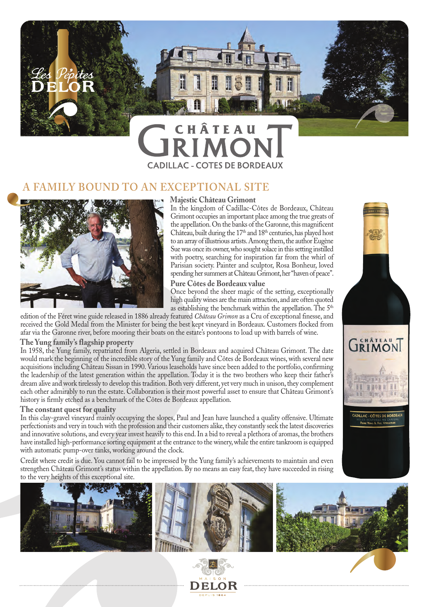

# **CADILLAC - COTES DE BORDEAUX**

### **BOUND TO AN EXCEPTIONAL SITE**



#### **Majestic Château Grimont**

In the kingdom of Cadillac-Côtes de Bordeaux, Château Grimont occupies an important place among the true greats of the appellation. On the banks of the Garonne, this magnificent Château, built during the 17<sup>th</sup> and 18<sup>th</sup> centuries, has played host to an array of illustrious artists. Among them, the author Eugène Sue was once its owner, who sought solace in this setting instilled with poetry, searching for inspiration far from the whirl of Parisian society. Painter and sculptor, Rosa Bonheur, loved spending her summers at Château Grimont, her "haven of peace".

#### **Pure Côtes de Bordeaux value**

Once beyond the sheer magic of the setting, exceptionally high quality wines are the main attraction, and are often quoted as establishing the benchmark within the appellation. The 5<sup>th</sup>

edition of the Féret wine guide released in 1886 already featured *Château Grimon* as a Cru of exceptional finesse, and received the Gold Medal from the Minister for being the best kept vineyard in Bordeaux. Customers flocked from afar via the Garonne river, before mooring their boats on the estate's pontoons to load up with barrels of wine.

#### **The Yung family's flagship property**

In 1958, the Yung family, repatriated from Algeria, settled in Bordeaux and acquired Château Grimont. The date would mark the beginning of the incredible story of the Yung family and Côtes de Bordeaux wines, with several new acquisitions including Château Sissan in 1990. Various leaseholds have since been added to the portfolio, confirming the leadership of the latest generation within the appellation. Today it is the two brothers who keep their father's dream alive and work tirelessly to develop this tradition. Both very different, yet very much in unison, they complement each other admirably to run the estate. Collaboration is their most powerful asset to ensure that Château Grimont's history is firmly etched as a benchmark of the Côtes de Bordeaux appellation.

#### **The constant quest for quality**

In this clay-gravel vineyard mainly occupying the slopes, Paul and Jean have launched a quality offensive. Ultimate perfectionists and very in touch with the profession and their customers alike, they constantly seek the latest discoveries and innovative solutions, and every year invest heavily to this end. In a bid to reveal a plethora of aromas, the brothers have installed high-performance sorting equipment at the entrance to the winery, while the entire tankroom is equipped with automatic pump-over tanks, working around the clock.

Credit where credit is due. You cannot fail to be impressed by the Yung family's achievements to maintain and even strengthen Château Grimont's status within the appellation. By no means an easy feat, they have succeeded in rising to the very heights of this exceptional site.